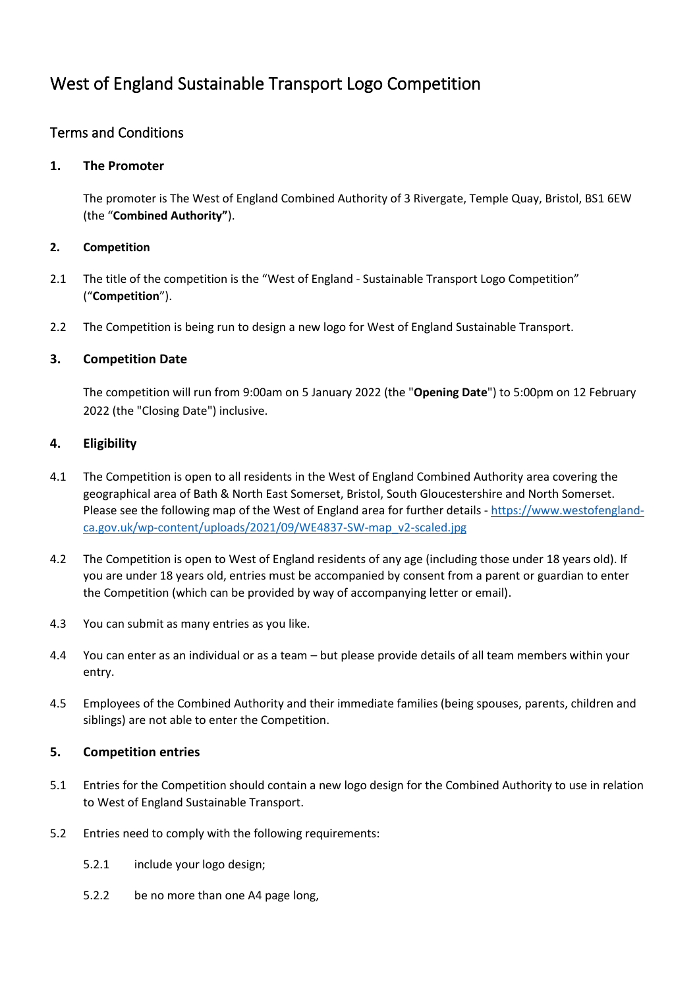# West of England Sustainable Transport Logo Competition

## Terms and Conditions

## **1. The Promoter**

The promoter is The West of England Combined Authority of 3 Rivergate, Temple Quay, Bristol, BS1 6EW (the "**Combined Authority"**).

#### **2. Competition**

- 2.1 The title of the competition is the "West of England Sustainable Transport Logo Competition" ("**Competition**").
- 2.2 The Competition is being run to design a new logo for West of England Sustainable Transport.

## **3. Competition Date**

The competition will run from 9:00am on 5 January 2022 (the "**Opening Date**") to 5:00pm on 12 February 2022 (the "Closing Date") inclusive.

### **4. Eligibility**

- 4.1 The Competition is open to all residents in the West of England Combined Authority area covering the geographical area of Bath & North East Somerset, Bristol, South Gloucestershire and North Somerset. Please see the following map of the West of England area for further details - [https://www.westofengland](https://www.westofengland-ca.gov.uk/wp-content/uploads/2021/09/WE4837-SW-map_v2-scaled.jpg)[ca.gov.uk/wp-content/uploads/2021/09/WE4837-SW-map\\_v2-scaled.jpg](https://www.westofengland-ca.gov.uk/wp-content/uploads/2021/09/WE4837-SW-map_v2-scaled.jpg)
- 4.2 The Competition is open to West of England residents of any age (including those under 18 years old). If you are under 18 years old, entries must be accompanied by consent from a parent or guardian to enter the Competition (which can be provided by way of accompanying letter or email).
- 4.3 You can submit as many entries as you like.
- 4.4 You can enter as an individual or as a team but please provide details of all team members within your entry.
- 4.5 Employees of the Combined Authority and their immediate families (being spouses, parents, children and siblings) are not able to enter the Competition.

## **5. Competition entries**

- 5.1 Entries for the Competition should contain a new logo design for the Combined Authority to use in relation to West of England Sustainable Transport.
- 5.2 Entries need to comply with the following requirements:
	- 5.2.1 include your logo design;
	- 5.2.2 be no more than one A4 page long,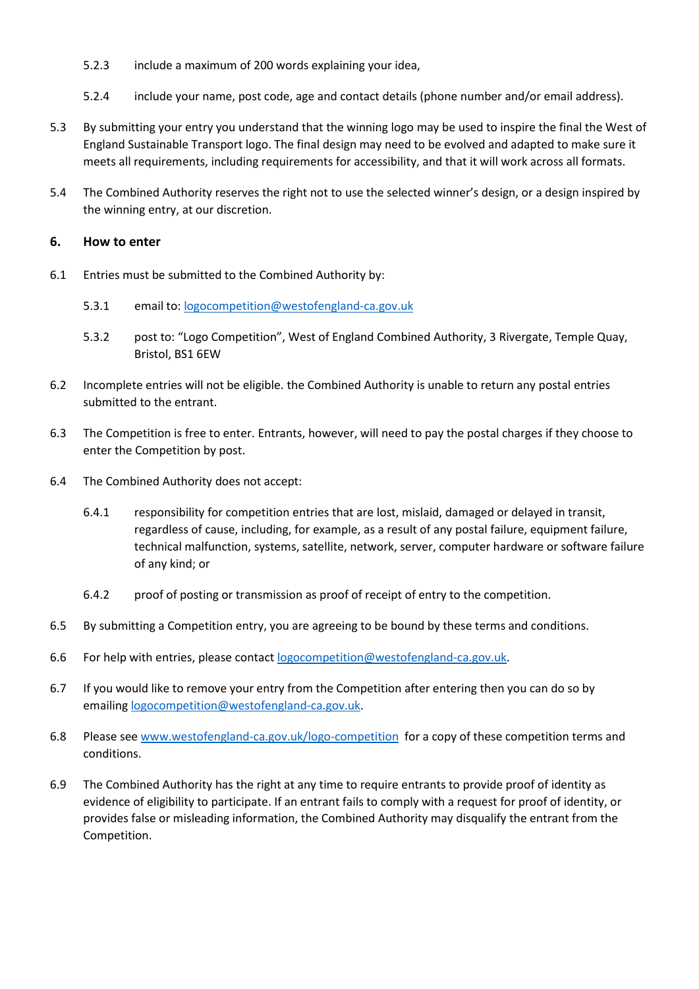- 5.2.3 include a maximum of 200 words explaining your idea,
- 5.2.4 include your name, post code, age and contact details (phone number and/or email address).
- 5.3 By submitting your entry you understand that the winning logo may be used to inspire the final the West of England Sustainable Transport logo. The final design may need to be evolved and adapted to make sure it meets all requirements, including requirements for accessibility, and that it will work across all formats.
- 5.4 The Combined Authority reserves the right not to use the selected winner's design, or a design inspired by the winning entry, at our discretion.

#### **6. How to enter**

- 6.1 Entries must be submitted to the Combined Authority by:
	- 5.3.1 email to[: logocompetition@westofengland-ca.gov.uk](mailto:logocompetition@westofengland-ca.gov.uk)
	- 5.3.2 post to: "Logo Competition", West of England Combined Authority, 3 Rivergate, Temple Quay, Bristol, BS1 6EW
- 6.2 Incomplete entries will not be eligible. the Combined Authority is unable to return any postal entries submitted to the entrant.
- 6.3 The Competition is free to enter. Entrants, however, will need to pay the postal charges if they choose to enter the Competition by post.
- 6.4 The Combined Authority does not accept:
	- 6.4.1 responsibility for competition entries that are lost, mislaid, damaged or delayed in transit, regardless of cause, including, for example, as a result of any postal failure, equipment failure, technical malfunction, systems, satellite, network, server, computer hardware or software failure of any kind; or
	- 6.4.2 proof of posting or transmission as proof of receipt of entry to the competition.
- 6.5 By submitting a Competition entry, you are agreeing to be bound by these terms and conditions.
- 6.6 For help with entries, please contact [logocompetition@westofengland-ca.gov.uk.](mailto:logocompetition@westofengland-ca.gov.uk)
- 6.7 If you would like to remove your entry from the Competition after entering then you can do so by emailing [logocompetition@westofengland-ca.gov.uk.](mailto:logocompetition@westofengland-ca.gov.uk)
- 6.8 Please see [www.westofengland-ca.gov.uk/logo-competition](http://www.westofengland-ca.gov.uk/logo-competition) for a copy of these competition terms and conditions.
- 6.9 The Combined Authority has the right at any time to require entrants to provide proof of identity as evidence of eligibility to participate. If an entrant fails to comply with a request for proof of identity, or provides false or misleading information, the Combined Authority may disqualify the entrant from the Competition.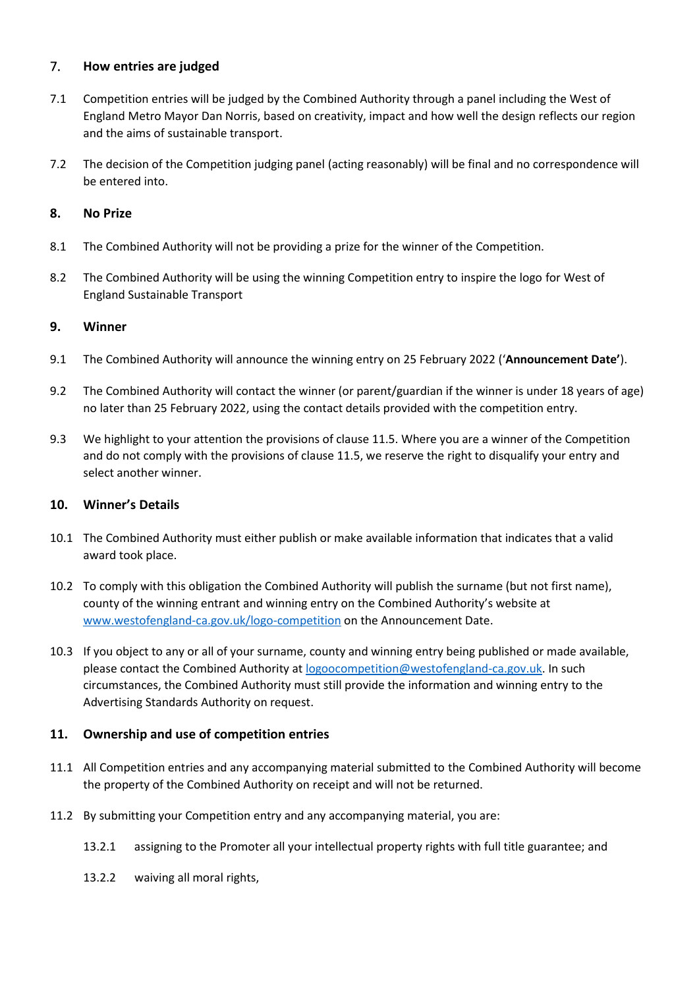#### 7. **How entries are judged**

- 7.1 Competition entries will be judged by the Combined Authority through a panel including the West of England Metro Mayor Dan Norris, based on creativity, impact and how well the design reflects our region and the aims of sustainable transport.
- 7.2 The decision of the Competition judging panel (acting reasonably) will be final and no correspondence will be entered into.

#### **8. No Prize**

- 8.1 The Combined Authority will not be providing a prize for the winner of the Competition.
- 8.2 The Combined Authority will be using the winning Competition entry to inspire the logo for West of England Sustainable Transport

#### **9. Winner**

- 9.1 The Combined Authority will announce the winning entry on 25 February 2022 ('**Announcement Date'**).
- 9.2 The Combined Authority will contact the winner (or parent/guardian if the winner is under 18 years of age) no later than 25 February 2022, using the contact details provided with the competition entry.
- 9.3 We highlight to your attention the provisions of clause [11.5.](#page-3-0) Where you are a winner of the Competition and do not comply with the provisions of clause [11.5,](#page-3-0) we reserve the right to disqualify your entry and select another winner.

#### <span id="page-2-2"></span>**10. Winner's Details**

- 10.1 The Combined Authority must either publish or make available information that indicates that a valid award took place.
- 10.2 To comply with this obligation the Combined Authority will publish the surname (but not first name), county of the winning entrant and winning entry on the Combined Authority's website at [www.westofengland-ca.gov.uk/logo-competition](http://www.westofengland-ca.gov.uk/logo-competition) on the Announcement Date.
- 10.3 If you object to any or all of your surname, county and winning entry being published or made available, please contact the Combined Authority at [logoocompetition@westofengland-ca.gov.uk.](mailto:logoocompetition@westofengland-ca.gov.uk) In such circumstances, the Combined Authority must still provide the information and winning entry to the Advertising Standards Authority on request.

## <span id="page-2-1"></span>**11. Ownership and use of competition entries**

- 11.1 All Competition entries and any accompanying material submitted to the Combined Authority will become the property of the Combined Authority on receipt and will not be returned.
- <span id="page-2-0"></span>11.2 By submitting your Competition entry and any accompanying material, you are:
	- 13.2.1 assigning to the Promoter all your intellectual property rights with full title guarantee; and
	- 13.2.2 waiving all moral rights,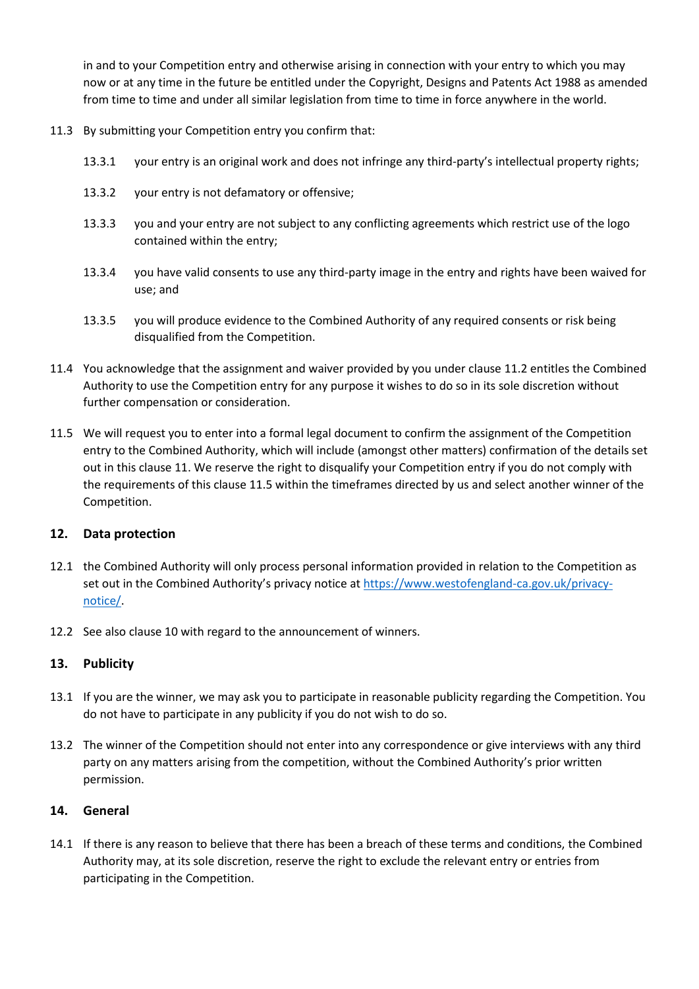in and to your Competition entry and otherwise arising in connection with your entry to which you may now or at any time in the future be entitled under the Copyright, Designs and Patents Act 1988 as amended from time to time and under all similar legislation from time to time in force anywhere in the world.

- 11.3 By submitting your Competition entry you confirm that:
	- 13.3.1 your entry is an original work and does not infringe any third-party's intellectual property rights;
	- 13.3.2 your entry is not defamatory or offensive;
	- 13.3.3 you and your entry are not subject to any conflicting agreements which restrict use of the logo contained within the entry;
	- 13.3.4 you have valid consents to use any third-party image in the entry and rights have been waived for use; and
	- 13.3.5 you will produce evidence to the Combined Authority of any required consents or risk being disqualified from the Competition.
- 11.4 You acknowledge that the assignment and waiver provided by you under claus[e 11.2](#page-2-0) entitles the Combined Authority to use the Competition entry for any purpose it wishes to do so in its sole discretion without further compensation or consideration.
- <span id="page-3-0"></span>11.5 We will request you to enter into a formal legal document to confirm the assignment of the Competition entry to the Combined Authority, which will include (amongst other matters) confirmation of the details set out in this claus[e 11.](#page-2-1) We reserve the right to disqualify your Competition entry if you do not comply with the requirements of this clause [11.5](#page-3-0) within the timeframes directed by us and select another winner of the Competition.

## **12. Data protection**

- 12.1 the Combined Authority will only process personal information provided in relation to the Competition as set out in the Combined Authority's privacy notice at [https://www.westofengland-ca.gov.uk/privacy](https://www.westofengland-ca.gov.uk/privacy-notice/)[notice/.](https://www.westofengland-ca.gov.uk/privacy-notice/)
- 12.2 See also clause [10](#page-2-2) with regard to the announcement of winners.

#### **13. Publicity**

- 13.1 If you are the winner, we may ask you to participate in reasonable publicity regarding the Competition. You do not have to participate in any publicity if you do not wish to do so.
- 13.2 The winner of the Competition should not enter into any correspondence or give interviews with any third party on any matters arising from the competition, without the Combined Authority's prior written permission.

#### **14. General**

14.1 If there is any reason to believe that there has been a breach of these terms and conditions, the Combined Authority may, at its sole discretion, reserve the right to exclude the relevant entry or entries from participating in the Competition.